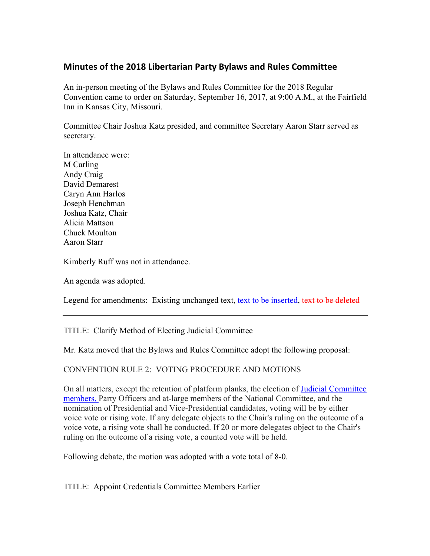# **Minutes of the 2018 Libertarian Party Bylaws and Rules Committee**

An in-person meeting of the Bylaws and Rules Committee for the 2018 Regular Convention came to order on Saturday, September 16, 2017, at 9:00 A.M., at the Fairfield Inn in Kansas City, Missouri.

Committee Chair Joshua Katz presided, and committee Secretary Aaron Starr served as secretary.

In attendance were: M Carling Andy Craig David Demarest Caryn Ann Harlos Joseph Henchman Joshua Katz, Chair Alicia Mattson Chuck Moulton Aaron Starr

Kimberly Ruff was not in attendance.

An agenda was adopted.

Legend for amendments: Existing unchanged text, text to be inserted, text to be deleted

TITLE: Clarify Method of Electing Judicial Committee

Mr. Katz moved that the Bylaws and Rules Committee adopt the following proposal:

CONVENTION RULE 2: VOTING PROCEDURE AND MOTIONS

On all matters, except the retention of platform planks, the election of Judicial Committee members, Party Officers and at-large members of the National Committee, and the nomination of Presidential and Vice-Presidential candidates, voting will be by either voice vote or rising vote. If any delegate objects to the Chair's ruling on the outcome of a voice vote, a rising vote shall be conducted. If 20 or more delegates object to the Chair's ruling on the outcome of a rising vote, a counted vote will be held.

Following debate, the motion was adopted with a vote total of 8-0.

TITLE: Appoint Credentials Committee Members Earlier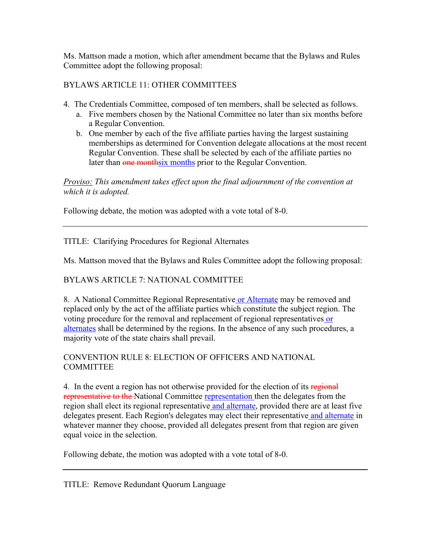Ms. Mattson made a motion, which after amendment became that the Bylaws and Rules Committee adopt the following proposal:

BYLAWS ARTICLE 11: OTHER COMMITTEES

- 4. The Credentials Committee, composed of ten members, shall be selected as follows.
	- a. Five members chosen by the National Committee no later than six months before a Regular Convention.
	- b. One member by each of the five affiliate parties having the largest sustaining memberships as determined for Convention delegate allocations at the most recent Regular Convention. These shall be selected by each of the affiliate parties no later than one monthsix months prior to the Regular Convention.

*Proviso: This amendment takes effect upon the final adjournment of the convention at which it is adopted.*

Following debate, the motion was adopted with a vote total of 8-0.

TITLE: Clarifying Procedures for Regional Alternates

Ms. Mattson moved that the Bylaws and Rules Committee adopt the following proposal:

BYLAWS ARTICLE 7: NATIONAL COMMITTEE

8. A National Committee Regional Representative or Alternate may be removed and replaced only by the act of the affiliate parties which constitute the subject region. The voting procedure for the removal and replacement of regional representatives or alternates shall be determined by the regions. In the absence of any such procedures, a majority vote of the state chairs shall prevail.

CONVENTION RULE 8: ELECTION OF OFFICERS AND NATIONAL **COMMITTEE** 

4. In the event a region has not otherwise provided for the election of its regional representative to the National Committee representation then the delegates from the region shall elect its regional representative and alternate, provided there are at least five delegates present. Each Region's delegates may elect their representative and alternate in whatever manner they choose, provided all delegates present from that region are given equal voice in the selection.

Following debate, the motion was adopted with a vote total of 8-0.

TITLE: Remove Redundant Quorum Language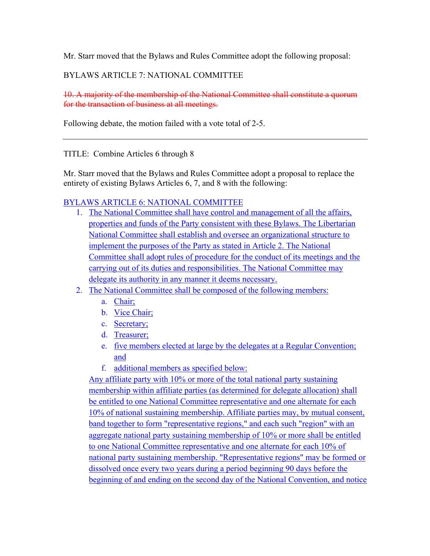Mr. Starr moved that the Bylaws and Rules Committee adopt the following proposal:

## BYLAWS ARTICLE 7: NATIONAL COMMITTEE

10. A majority of the membership of the National Committee shall constitute a quorum for the transaction of business at all meetings.

Following debate, the motion failed with a vote total of 2-5.

#### TITLE: Combine Articles 6 through 8

Mr. Starr moved that the Bylaws and Rules Committee adopt a proposal to replace the entirety of existing Bylaws Articles 6, 7, and 8 with the following:

## BYLAWS ARTICLE 6: NATIONAL COMMITTEE

- 1. The National Committee shall have control and management of all the affairs, properties and funds of the Party consistent with these Bylaws. The Libertarian National Committee shall establish and oversee an organizational structure to implement the purposes of the Party as stated in Article 2. The National Committee shall adopt rules of procedure for the conduct of its meetings and the carrying out of its duties and responsibilities. The National Committee may delegate its authority in any manner it deems necessary.
- 2. The National Committee shall be composed of the following members:
	- a. Chair;
	- b. Vice Chair;
	- c. Secretary;
	- d. Treasurer;
	- e. five members elected at large by the delegates at a Regular Convention; and
	- f. additional members as specified below:

Any affiliate party with 10% or more of the total national party sustaining membership within affiliate parties (as determined for delegate allocation) shall be entitled to one National Committee representative and one alternate for each 10% of national sustaining membership. Affiliate parties may, by mutual consent, band together to form "representative regions," and each such "region" with an aggregate national party sustaining membership of 10% or more shall be entitled to one National Committee representative and one alternate for each 10% of national party sustaining membership. "Representative regions" may be formed or dissolved once every two years during a period beginning 90 days before the beginning of and ending on the second day of the National Convention, and notice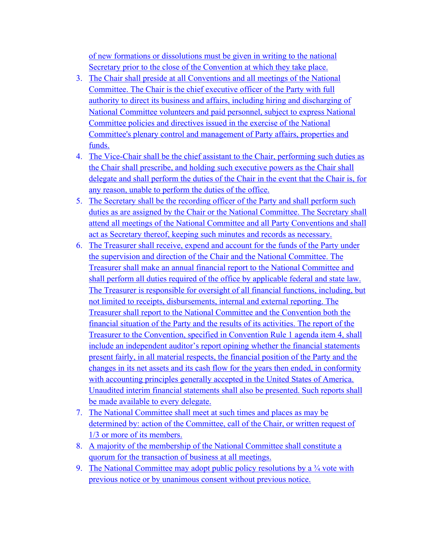of new formations or dissolutions must be given in writing to the national Secretary prior to the close of the Convention at which they take place.

- 3. The Chair shall preside at all Conventions and all meetings of the National Committee. The Chair is the chief executive officer of the Party with full authority to direct its business and affairs, including hiring and discharging of National Committee volunteers and paid personnel, subject to express National Committee policies and directives issued in the exercise of the National Committee's plenary control and management of Party affairs, properties and funds.
- 4. The Vice-Chair shall be the chief assistant to the Chair, performing such duties as the Chair shall prescribe, and holding such executive powers as the Chair shall delegate and shall perform the duties of the Chair in the event that the Chair is, for any reason, unable to perform the duties of the office.
- 5. The Secretary shall be the recording officer of the Party and shall perform such duties as are assigned by the Chair or the National Committee. The Secretary shall attend all meetings of the National Committee and all Party Conventions and shall act as Secretary thereof, keeping such minutes and records as necessary.
- 6. The Treasurer shall receive, expend and account for the funds of the Party under the supervision and direction of the Chair and the National Committee. The Treasurer shall make an annual financial report to the National Committee and shall perform all duties required of the office by applicable federal and state law. The Treasurer is responsible for oversight of all financial functions, including, but not limited to receipts, disbursements, internal and external reporting. The Treasurer shall report to the National Committee and the Convention both the financial situation of the Party and the results of its activities. The report of the Treasurer to the Convention, specified in Convention Rule 1 agenda item 4, shall include an independent auditor's report opining whether the financial statements present fairly, in all material respects, the financial position of the Party and the changes in its net assets and its cash flow for the years then ended, in conformity with accounting principles generally accepted in the United States of America. Unaudited interim financial statements shall also be presented. Such reports shall be made available to every delegate.
- 7. The National Committee shall meet at such times and places as may be determined by: action of the Committee, call of the Chair, or written request of 1/3 or more of its members.
- 8. A majority of the membership of the National Committee shall constitute a quorum for the transaction of business at all meetings.
- 9. The National Committee may adopt public policy resolutions by a  $\frac{3}{4}$  vote with previous notice or by unanimous consent without previous notice.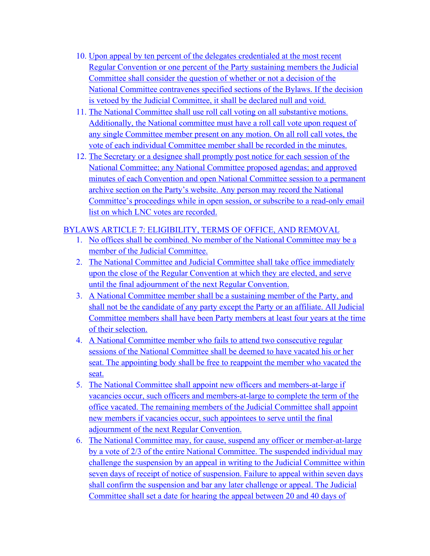- 10. Upon appeal by ten percent of the delegates credentialed at the most recent Regular Convention or one percent of the Party sustaining members the Judicial Committee shall consider the question of whether or not a decision of the National Committee contravenes specified sections of the Bylaws. If the decision is vetoed by the Judicial Committee, it shall be declared null and void.
- 11. The National Committee shall use roll call voting on all substantive motions. Additionally, the National committee must have a roll call vote upon request of any single Committee member present on any motion. On all roll call votes, the vote of each individual Committee member shall be recorded in the minutes.
- 12. The Secretary or a designee shall promptly post notice for each session of the National Committee; any National Committee proposed agendas; and approved minutes of each Convention and open National Committee session to a permanent archive section on the Party's website. Any person may record the National Committee's proceedings while in open session, or subscribe to a read-only email list on which LNC votes are recorded.

# BYLAWS ARTICLE 7: ELIGIBILITY, TERMS OF OFFICE, AND REMOVAL

- 1. No offices shall be combined. No member of the National Committee may be a member of the Judicial Committee.
- 2. The National Committee and Judicial Committee shall take office immediately upon the close of the Regular Convention at which they are elected, and serve until the final adjournment of the next Regular Convention.
- 3. A National Committee member shall be a sustaining member of the Party, and shall not be the candidate of any party except the Party or an affiliate. All Judicial Committee members shall have been Party members at least four years at the time of their selection.
- 4. A National Committee member who fails to attend two consecutive regular sessions of the National Committee shall be deemed to have vacated his or her seat. The appointing body shall be free to reappoint the member who vacated the seat.
- 5. The National Committee shall appoint new officers and members-at-large if vacancies occur, such officers and members-at-large to complete the term of the office vacated. The remaining members of the Judicial Committee shall appoint new members if vacancies occur, such appointees to serve until the final adjournment of the next Regular Convention.
- 6. The National Committee may, for cause, suspend any officer or member-at-large by a vote of 2/3 of the entire National Committee. The suspended individual may challenge the suspension by an appeal in writing to the Judicial Committee within seven days of receipt of notice of suspension. Failure to appeal within seven days shall confirm the suspension and bar any later challenge or appeal. The Judicial Committee shall set a date for hearing the appeal between 20 and 40 days of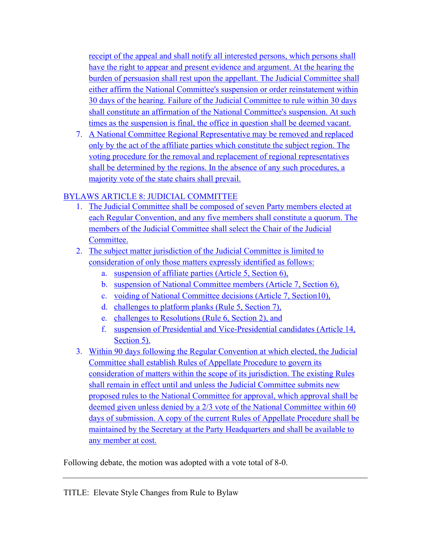receipt of the appeal and shall notify all interested persons, which persons shall have the right to appear and present evidence and argument. At the hearing the burden of persuasion shall rest upon the appellant. The Judicial Committee shall either affirm the National Committee's suspension or order reinstatement within 30 days of the hearing. Failure of the Judicial Committee to rule within 30 days shall constitute an affirmation of the National Committee's suspension. At such times as the suspension is final, the office in question shall be deemed vacant.

7. A National Committee Regional Representative may be removed and replaced only by the act of the affiliate parties which constitute the subject region. The voting procedure for the removal and replacement of regional representatives shall be determined by the regions. In the absence of any such procedures, a majority vote of the state chairs shall prevail.

# BYLAWS ARTICLE 8: JUDICIAL COMMITTEE

- 1. The Judicial Committee shall be composed of seven Party members elected at each Regular Convention, and any five members shall constitute a quorum. The members of the Judicial Committee shall select the Chair of the Judicial Committee.
- 2. The subject matter jurisdiction of the Judicial Committee is limited to consideration of only those matters expressly identified as follows:
	- a. suspension of affiliate parties (Article 5, Section 6),
	- b. suspension of National Committee members (Article 7, Section 6),
	- c. voiding of National Committee decisions (Article 7, Section10),
	- d. challenges to platform planks (Rule 5, Section 7),
	- e. challenges to Resolutions (Rule 6, Section 2), and
	- f. suspension of Presidential and Vice-Presidential candidates (Article 14, Section 5).
- 3. Within 90 days following the Regular Convention at which elected, the Judicial Committee shall establish Rules of Appellate Procedure to govern its consideration of matters within the scope of its jurisdiction. The existing Rules shall remain in effect until and unless the Judicial Committee submits new proposed rules to the National Committee for approval, which approval shall be deemed given unless denied by a 2/3 vote of the National Committee within 60 days of submission. A copy of the current Rules of Appellate Procedure shall be maintained by the Secretary at the Party Headquarters and shall be available to any member at cost.

Following debate, the motion was adopted with a vote total of 8-0.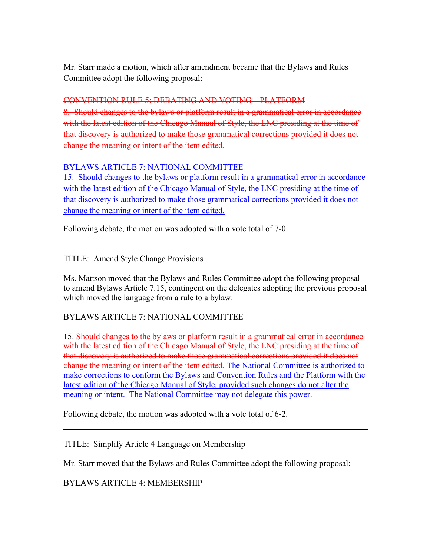Mr. Starr made a motion, which after amendment became that the Bylaws and Rules Committee adopt the following proposal:

## CONVENTION RULE 5: DEBATING AND VOTING – PLATFORM

8. Should changes to the bylaws or platform result in a grammatical error in accordance with the latest edition of the Chicago Manual of Style, the LNC presiding at the time of that discovery is authorized to make those grammatical corrections provided it does not change the meaning or intent of the item edited.

#### BYLAWS ARTICLE 7: NATIONAL COMMITTEE

15. Should changes to the bylaws or platform result in a grammatical error in accordance with the latest edition of the Chicago Manual of Style, the LNC presiding at the time of that discovery is authorized to make those grammatical corrections provided it does not change the meaning or intent of the item edited.

Following debate, the motion was adopted with a vote total of 7-0.

TITLE: Amend Style Change Provisions

Ms. Mattson moved that the Bylaws and Rules Committee adopt the following proposal to amend Bylaws Article 7.15, contingent on the delegates adopting the previous proposal which moved the language from a rule to a bylaw:

BYLAWS ARTICLE 7: NATIONAL COMMITTEE

15. Should changes to the bylaws or platform result in a grammatical error in accordance with the latest edition of the Chicago Manual of Style, the LNC presiding at the time of that discovery is authorized to make those grammatical corrections provided it does not change the meaning or intent of the item edited. The National Committee is authorized to make corrections to conform the Bylaws and Convention Rules and the Platform with the latest edition of the Chicago Manual of Style, provided such changes do not alter the meaning or intent. The National Committee may not delegate this power.

Following debate, the motion was adopted with a vote total of 6-2.

TITLE: Simplify Article 4 Language on Membership

Mr. Starr moved that the Bylaws and Rules Committee adopt the following proposal:

BYLAWS ARTICLE 4: MEMBERSHIP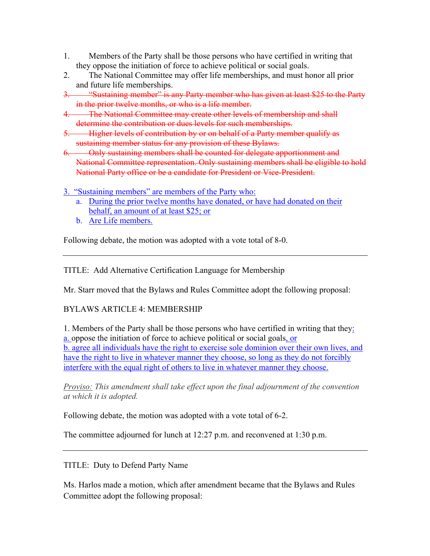- 1. Members of the Party shall be those persons who have certified in writing that they oppose the initiation of force to achieve political or social goals.
- 2. The National Committee may offer life memberships, and must honor all prior and future life memberships.
- 3. "Sustaining member" is any Party member who has given at least \$25 to the Party in the prior twelve months, or who is a life member.
- 4. The National Committee may create other levels of membership and shall determine the contribution or dues levels for such memberships.
- 5. Higher levels of contribution by or on behalf of a Party member qualify as sustaining member status for any provision of these Bylaws.
- 6. Only sustaining members shall be counted for delegate apportionment and National Committee representation. Only sustaining members shall be eligible to hold National Party office or be a candidate for President or Vice-President.
- 3. "Sustaining members" are members of the Party who:
	- a. During the prior twelve months have donated, or have had donated on their behalf, an amount of at least \$25; or
	- b. Are Life members.

Following debate, the motion was adopted with a vote total of 8-0.

TITLE: Add Alternative Certification Language for Membership

Mr. Starr moved that the Bylaws and Rules Committee adopt the following proposal:

## BYLAWS ARTICLE 4: MEMBERSHIP

1. Members of the Party shall be those persons who have certified in writing that they: a. oppose the initiation of force to achieve political or social goals, or b. agree all individuals have the right to exercise sole dominion over their own lives, and have the right to live in whatever manner they choose, so long as they do not forcibly interfere with the equal right of others to live in whatever manner they choose.

*Proviso: This amendment shall take effect upon the final adjournment of the convention at which it is adopted.*

Following debate, the motion was adopted with a vote total of 6-2.

The committee adjourned for lunch at 12:27 p.m. and reconvened at 1:30 p.m.

TITLE: Duty to Defend Party Name

Ms. Harlos made a motion, which after amendment became that the Bylaws and Rules Committee adopt the following proposal: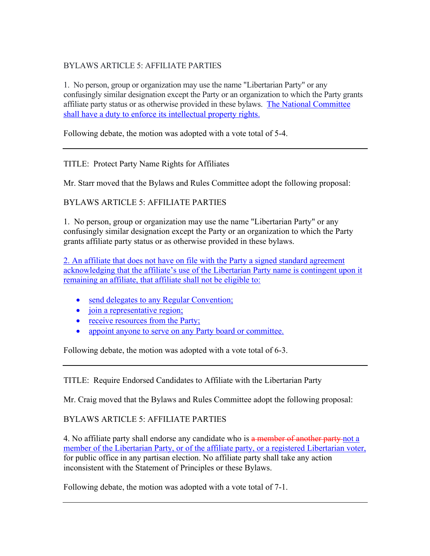# BYLAWS ARTICLE 5: AFFILIATE PARTIES

1. No person, group or organization may use the name "Libertarian Party" or any confusingly similar designation except the Party or an organization to which the Party grants affiliate party status or as otherwise provided in these bylaws. The National Committee shall have a duty to enforce its intellectual property rights.

Following debate, the motion was adopted with a vote total of 5-4.

TITLE: Protect Party Name Rights for Affiliates

Mr. Starr moved that the Bylaws and Rules Committee adopt the following proposal:

BYLAWS ARTICLE 5: AFFILIATE PARTIES

1. No person, group or organization may use the name "Libertarian Party" or any confusingly similar designation except the Party or an organization to which the Party grants affiliate party status or as otherwise provided in these bylaws.

2. An affiliate that does not have on file with the Party a signed standard agreement acknowledging that the affiliate's use of the Libertarian Party name is contingent upon it remaining an affiliate, that affiliate shall not be eligible to:

- send delegates to any Regular Convention;
- join a representative region;
- receive resources from the Party;
- appoint anyone to serve on any Party board or committee.

Following debate, the motion was adopted with a vote total of 6-3.

TITLE: Require Endorsed Candidates to Affiliate with the Libertarian Party

Mr. Craig moved that the Bylaws and Rules Committee adopt the following proposal:

# BYLAWS ARTICLE 5: AFFILIATE PARTIES

4. No affiliate party shall endorse any candidate who is a member of another party not a member of the Libertarian Party, or of the affiliate party, or a registered Libertarian voter, for public office in any partisan election. No affiliate party shall take any action inconsistent with the Statement of Principles or these Bylaws.

Following debate, the motion was adopted with a vote total of 7-1.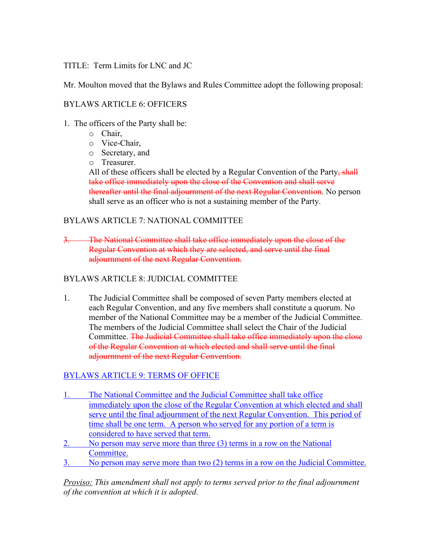#### TITLE: Term Limits for LNC and JC

Mr. Moulton moved that the Bylaws and Rules Committee adopt the following proposal:

#### BYLAWS ARTICLE 6: OFFICERS

- 1. The officers of the Party shall be:
	- o Chair,
	- o Vice-Chair,
	- o Secretary, and
	- o Treasurer.

All of these officers shall be elected by a Regular Convention of the Party, shall take office immediately upon the close of the Convention and shall serve thereafter until the final adjournment of the next Regular Convention. No person shall serve as an officer who is not a sustaining member of the Party.

#### BYLAWS ARTICLE 7: NATIONAL COMMITTEE

3. The National Committee shall take office immediately upon the close of the Regular Convention at which they are selected, and serve until the final adjournment of the next Regular Convention.

#### BYLAWS ARTICLE 8: JUDICIAL COMMITTEE

1. The Judicial Committee shall be composed of seven Party members elected at each Regular Convention, and any five members shall constitute a quorum. No member of the National Committee may be a member of the Judicial Committee. The members of the Judicial Committee shall select the Chair of the Judicial Committee. The Judicial Committee shall take office immediately upon the close of the Regular Convention at which elected and shall serve until the final adjournment of the next Regular Convention.

## BYLAWS ARTICLE 9: TERMS OF OFFICE

- 1. The National Committee and the Judicial Committee shall take office immediately upon the close of the Regular Convention at which elected and shall serve until the final adjournment of the next Regular Convention. This period of time shall be one term. A person who served for any portion of a term is considered to have served that term.
- 2. No person may serve more than three (3) terms in a row on the National Committee.
- 3. No person may serve more than two (2) terms in a row on the Judicial Committee.

*Proviso: This amendment shall not apply to terms served prior to the final adjournment of the convention at which it is adopted.*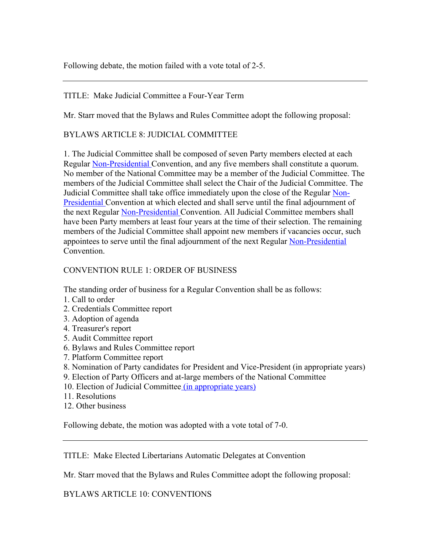Following debate, the motion failed with a vote total of 2-5.

## TITLE: Make Judicial Committee a Four-Year Term

Mr. Starr moved that the Bylaws and Rules Committee adopt the following proposal:

#### BYLAWS ARTICLE 8: JUDICIAL COMMITTEE

1. The Judicial Committee shall be composed of seven Party members elected at each Regular Non-Presidential Convention, and any five members shall constitute a quorum. No member of the National Committee may be a member of the Judicial Committee. The members of the Judicial Committee shall select the Chair of the Judicial Committee. The Judicial Committee shall take office immediately upon the close of the Regular Non-Presidential Convention at which elected and shall serve until the final adjournment of the next Regular Non-Presidential Convention. All Judicial Committee members shall have been Party members at least four years at the time of their selection. The remaining members of the Judicial Committee shall appoint new members if vacancies occur, such appointees to serve until the final adjournment of the next Regular Non-Presidential Convention.

#### CONVENTION RULE 1: ORDER OF BUSINESS

The standing order of business for a Regular Convention shall be as follows:

- 1. Call to order
- 2. Credentials Committee report
- 3. Adoption of agenda
- 4. Treasurer's report
- 5. Audit Committee report
- 6. Bylaws and Rules Committee report
- 7. Platform Committee report
- 8. Nomination of Party candidates for President and Vice-President (in appropriate years)
- 9. Election of Party Officers and at-large members of the National Committee
- 10. Election of Judicial Committee (in appropriate years)
- 11. Resolutions
- 12. Other business

Following debate, the motion was adopted with a vote total of 7-0.

TITLE: Make Elected Libertarians Automatic Delegates at Convention

Mr. Starr moved that the Bylaws and Rules Committee adopt the following proposal:

BYLAWS ARTICLE 10: CONVENTIONS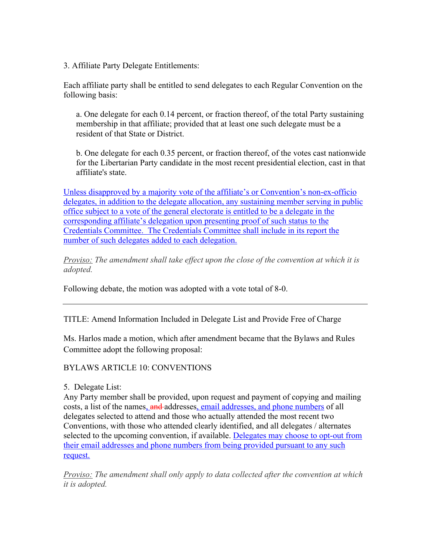3. Affiliate Party Delegate Entitlements:

Each affiliate party shall be entitled to send delegates to each Regular Convention on the following basis:

a. One delegate for each 0.14 percent, or fraction thereof, of the total Party sustaining membership in that affiliate; provided that at least one such delegate must be a resident of that State or District.

b. One delegate for each 0.35 percent, or fraction thereof, of the votes cast nationwide for the Libertarian Party candidate in the most recent presidential election, cast in that affiliate's state.

Unless disapproved by a majority vote of the affiliate's or Convention's non-ex-officio delegates, in addition to the delegate allocation, any sustaining member serving in public office subject to a vote of the general electorate is entitled to be a delegate in the corresponding affiliate's delegation upon presenting proof of such status to the Credentials Committee. The Credentials Committee shall include in its report the number of such delegates added to each delegation.

*Proviso: The amendment shall take effect upon the close of the convention at which it is adopted.*

Following debate, the motion was adopted with a vote total of 8-0.

TITLE: Amend Information Included in Delegate List and Provide Free of Charge

Ms. Harlos made a motion, which after amendment became that the Bylaws and Rules Committee adopt the following proposal:

#### BYLAWS ARTICLE 10: CONVENTIONS

5. Delegate List:

Any Party member shall be provided, upon request and payment of copying and mailing costs, a list of the names, and addresses, email addresses, and phone numbers of all delegates selected to attend and those who actually attended the most recent two Conventions, with those who attended clearly identified, and all delegates / alternates selected to the upcoming convention, if available. Delegates may choose to opt-out from their email addresses and phone numbers from being provided pursuant to any such request.

*Proviso: The amendment shall only apply to data collected after the convention at which it is adopted.*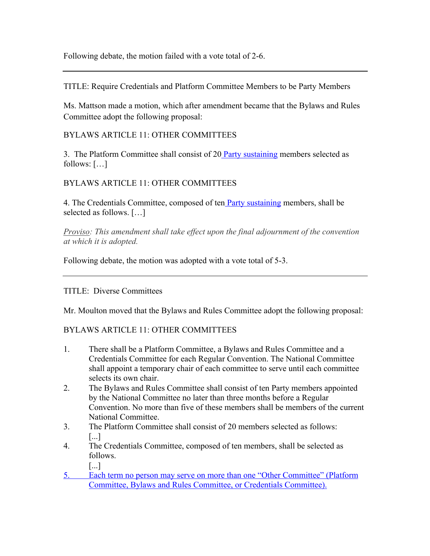Following debate, the motion failed with a vote total of 2-6.

TITLE: Require Credentials and Platform Committee Members to be Party Members

Ms. Mattson made a motion, which after amendment became that the Bylaws and Rules Committee adopt the following proposal:

## BYLAWS ARTICLE 11: OTHER COMMITTEES

3. The Platform Committee shall consist of 20 Party sustaining members selected as follows: […]

## BYLAWS ARTICLE 11: OTHER COMMITTEES

4. The Credentials Committee, composed of ten **Party sustaining members**, shall be selected as follows. […]

*Proviso: This amendment shall take effect upon the final adjournment of the convention at which it is adopted.*

Following debate, the motion was adopted with a vote total of 5-3.

TITLE: Diverse Committees

Mr. Moulton moved that the Bylaws and Rules Committee adopt the following proposal:

# BYLAWS ARTICLE 11: OTHER COMMITTEES

- 1. There shall be a Platform Committee, a Bylaws and Rules Committee and a Credentials Committee for each Regular Convention. The National Committee shall appoint a temporary chair of each committee to serve until each committee selects its own chair.
- 2. The Bylaws and Rules Committee shall consist of ten Party members appointed by the National Committee no later than three months before a Regular Convention. No more than five of these members shall be members of the current National Committee.
- 3. The Platform Committee shall consist of 20 members selected as follows: [...]
- 4. The Credentials Committee, composed of ten members, shall be selected as follows.
	- [...]
- 5. Each term no person may serve on more than one "Other Committee" (Platform Committee, Bylaws and Rules Committee, or Credentials Committee).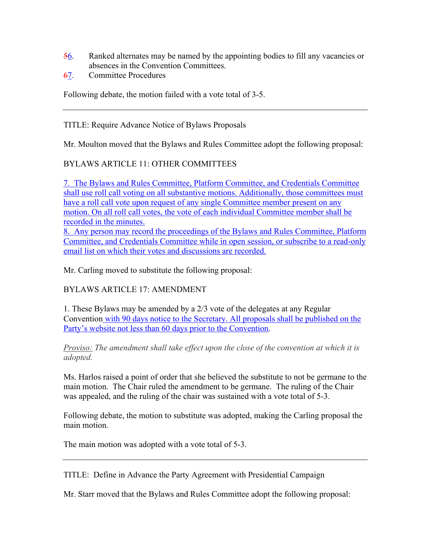- 56. Ranked alternates may be named by the appointing bodies to fill any vacancies or absences in the Convention Committees.
- 67. Committee Procedures

Following debate, the motion failed with a vote total of 3-5.

TITLE: Require Advance Notice of Bylaws Proposals

Mr. Moulton moved that the Bylaws and Rules Committee adopt the following proposal:

## BYLAWS ARTICLE 11: OTHER COMMITTEES

7. The Bylaws and Rules Committee, Platform Committee, and Credentials Committee shall use roll call voting on all substantive motions. Additionally, those committees must have a roll call vote upon request of any single Committee member present on any motion. On all roll call votes, the vote of each individual Committee member shall be recorded in the minutes. 8. Any person may record the proceedings of the Bylaws and Rules Committee, Platform Committee, and Credentials Committee while in open session, or subscribe to a read-only email list on which their votes and discussions are recorded.

Mr. Carling moved to substitute the following proposal:

## BYLAWS ARTICLE 17: AMENDMENT

1. These Bylaws may be amended by a 2/3 vote of the delegates at any Regular Convention with 90 days notice to the Secretary. All proposals shall be published on the Party's website not less than 60 days prior to the Convention.

*Proviso: The amendment shall take effect upon the close of the convention at which it is adopted.*

Ms. Harlos raised a point of order that she believed the substitute to not be germane to the main motion. The Chair ruled the amendment to be germane. The ruling of the Chair was appealed, and the ruling of the chair was sustained with a vote total of 5-3.

Following debate, the motion to substitute was adopted, making the Carling proposal the main motion.

The main motion was adopted with a vote total of 5-3.

TITLE: Define in Advance the Party Agreement with Presidential Campaign

Mr. Starr moved that the Bylaws and Rules Committee adopt the following proposal: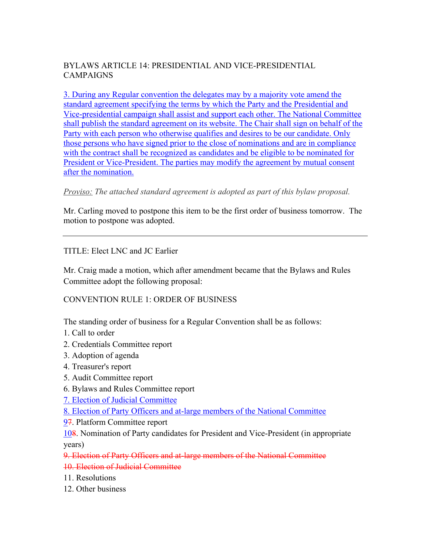## BYLAWS ARTICLE 14: PRESIDENTIAL AND VICE-PRESIDENTIAL CAMPAIGNS

3. During any Regular convention the delegates may by a majority vote amend the standard agreement specifying the terms by which the Party and the Presidential and Vice-presidential campaign shall assist and support each other. The National Committee shall publish the standard agreement on its website. The Chair shall sign on behalf of the Party with each person who otherwise qualifies and desires to be our candidate. Only those persons who have signed prior to the close of nominations and are in compliance with the contract shall be recognized as candidates and be eligible to be nominated for President or Vice-President. The parties may modify the agreement by mutual consent after the nomination.

## *Proviso: The attached standard agreement is adopted as part of this bylaw proposal.*

Mr. Carling moved to postpone this item to be the first order of business tomorrow. The motion to postpone was adopted.

## TITLE: Elect LNC and JC Earlier

Mr. Craig made a motion, which after amendment became that the Bylaws and Rules Committee adopt the following proposal:

CONVENTION RULE 1: ORDER OF BUSINESS

The standing order of business for a Regular Convention shall be as follows:

- 1. Call to order
- 2. Credentials Committee report
- 3. Adoption of agenda
- 4. Treasurer's report
- 5. Audit Committee report
- 6. Bylaws and Rules Committee report

7. Election of Judicial Committee

8. Election of Party Officers and at-large members of the National Committee

97. Platform Committee report

108. Nomination of Party candidates for President and Vice-President (in appropriate years)

9. Election of Party Officers and at-large members of the National Committee 10. Election of Judicial Committee

- 11. Resolutions
- 12. Other business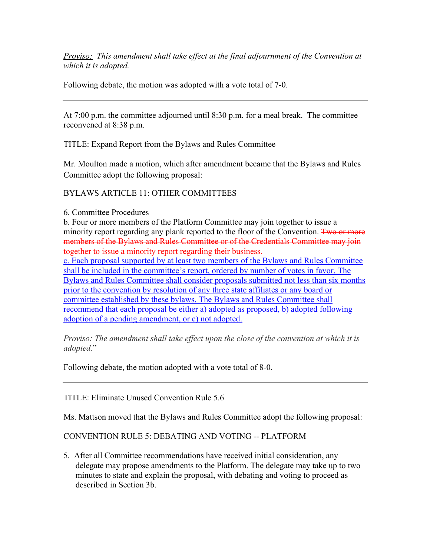*Proviso: This amendment shall take effect at the final adjournment of the Convention at which it is adopted.*

Following debate, the motion was adopted with a vote total of 7-0.

At 7:00 p.m. the committee adjourned until 8:30 p.m. for a meal break. The committee reconvened at 8:38 p.m.

TITLE: Expand Report from the Bylaws and Rules Committee

Mr. Moulton made a motion, which after amendment became that the Bylaws and Rules Committee adopt the following proposal:

BYLAWS ARTICLE 11: OTHER COMMITTEES

6. Committee Procedures

b. Four or more members of the Platform Committee may join together to issue a minority report regarding any plank reported to the floor of the Convention. Two or more members of the Bylaws and Rules Committee or of the Credentials Committee may join together to issue a minority report regarding their business.

c. Each proposal supported by at least two members of the Bylaws and Rules Committee shall be included in the committee's report, ordered by number of votes in favor. The Bylaws and Rules Committee shall consider proposals submitted not less than six months prior to the convention by resolution of any three state affiliates or any board or committee established by these bylaws. The Bylaws and Rules Committee shall recommend that each proposal be either a) adopted as proposed, b) adopted following adoption of a pending amendment, or c) not adopted.

*Proviso: The amendment shall take effect upon the close of the convention at which it is adopted.*"

Following debate, the motion adopted with a vote total of 8-0.

TITLE: Eliminate Unused Convention Rule 5.6

Ms. Mattson moved that the Bylaws and Rules Committee adopt the following proposal:

CONVENTION RULE 5: DEBATING AND VOTING -- PLATFORM

5. After all Committee recommendations have received initial consideration, any delegate may propose amendments to the Platform. The delegate may take up to two minutes to state and explain the proposal, with debating and voting to proceed as described in Section 3b.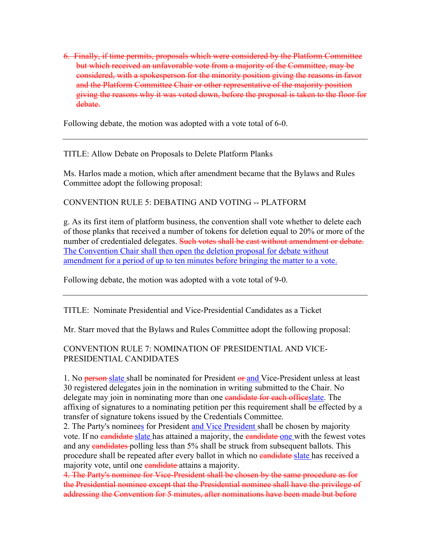6. Finally, if time permits, proposals which were considered by the Platform Committee but which received an unfavorable vote from a majority of the Committee, may be considered, with a spokesperson for the minority position giving the reasons in favor and the Platform Committee Chair or other representative of the majority position giving the reasons why it was voted down, before the proposal is taken to the floor for debate.

Following debate, the motion was adopted with a vote total of 6-0.

TITLE: Allow Debate on Proposals to Delete Platform Planks

Ms. Harlos made a motion, which after amendment became that the Bylaws and Rules Committee adopt the following proposal:

CONVENTION RULE 5: DEBATING AND VOTING -- PLATFORM

g. As its first item of platform business, the convention shall vote whether to delete each of those planks that received a number of tokens for deletion equal to 20% or more of the number of credentialed delegates. Such votes shall be east without amendment or debate. The Convention Chair shall then open the deletion proposal for debate without amendment for a period of up to ten minutes before bringing the matter to a vote.

Following debate, the motion was adopted with a vote total of 9-0.

TITLE: Nominate Presidential and Vice-Presidential Candidates as a Ticket

Mr. Starr moved that the Bylaws and Rules Committee adopt the following proposal:

## CONVENTION RULE 7: NOMINATION OF PRESIDENTIAL AND VICE-PRESIDENTIAL CANDIDATES

1. No person-slate shall be nominated for President or and Vice-President unless at least 30 registered delegates join in the nomination in writing submitted to the Chair. No delegate may join in nominating more than one eandidate for each offices late. The affixing of signatures to a nominating petition per this requirement shall be effected by a transfer of signature tokens issued by the Credentials Committee.

2. The Party's nominees for President and Vice President shall be chosen by majority vote. If no candidate slate has attained a majority, the candidate one with the fewest votes and any candidates polling less than 5% shall be struck from subsequent ballots. This procedure shall be repeated after every ballot in which no eandidate-slate has received a majority vote, until one candidate attains a majority.

4. The Party's nominee for Vice-President shall be chosen by the same procedure as for the Presidential nominee except that the Presidential nominee shall have the privilege of addressing the Convention for 5 minutes, after nominations have been made but before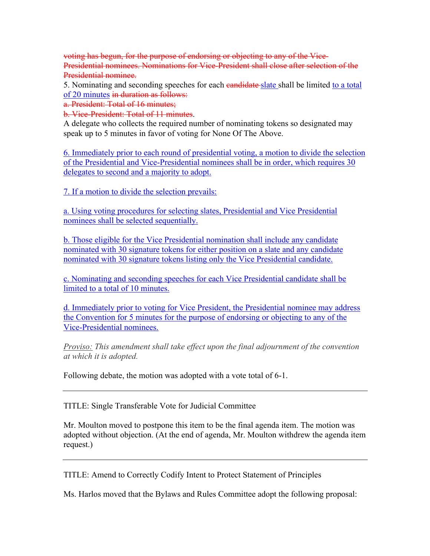voting has begun, for the purpose of endorsing or objecting to any of the Vice-Presidential nominees. Nominations for Vice-President shall close after selection of the Presidential nominee.

5. Nominating and seconding speeches for each eand idea shall be limited to a total of 20 minutes in duration as follows:

a. President: Total of 16 minutes;

b. Vice-President: Total of 11 minutes.

A delegate who collects the required number of nominating tokens so designated may speak up to 5 minutes in favor of voting for None Of The Above.

6. Immediately prior to each round of presidential voting, a motion to divide the selection of the Presidential and Vice-Presidential nominees shall be in order, which requires 30 delegates to second and a majority to adopt.

7. If a motion to divide the selection prevails:

a. Using voting procedures for selecting slates, Presidential and Vice Presidential nominees shall be selected sequentially.

b. Those eligible for the Vice Presidential nomination shall include any candidate nominated with 30 signature tokens for either position on a slate and any candidate nominated with 30 signature tokens listing only the Vice Presidential candidate.

c. Nominating and seconding speeches for each Vice Presidential candidate shall be limited to a total of 10 minutes.

d. Immediately prior to voting for Vice President, the Presidential nominee may address the Convention for 5 minutes for the purpose of endorsing or objecting to any of the Vice-Presidential nominees.

*Proviso: This amendment shall take effect upon the final adjournment of the convention at which it is adopted.*

Following debate, the motion was adopted with a vote total of 6-1.

TITLE: Single Transferable Vote for Judicial Committee

Mr. Moulton moved to postpone this item to be the final agenda item. The motion was adopted without objection. (At the end of agenda, Mr. Moulton withdrew the agenda item request.)

TITLE: Amend to Correctly Codify Intent to Protect Statement of Principles

Ms. Harlos moved that the Bylaws and Rules Committee adopt the following proposal: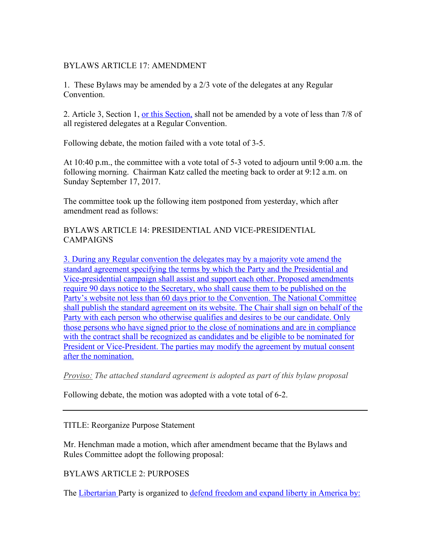#### BYLAWS ARTICLE 17: AMENDMENT

1. These Bylaws may be amended by a 2/3 vote of the delegates at any Regular Convention.

2. Article 3, Section 1, or this Section, shall not be amended by a vote of less than 7/8 of all registered delegates at a Regular Convention.

Following debate, the motion failed with a vote total of 3-5.

At 10:40 p.m., the committee with a vote total of 5-3 voted to adjourn until 9:00 a.m. the following morning. Chairman Katz called the meeting back to order at 9:12 a.m. on Sunday September 17, 2017.

The committee took up the following item postponed from yesterday, which after amendment read as follows:

#### BYLAWS ARTICLE 14: PRESIDENTIAL AND VICE-PRESIDENTIAL CAMPAIGNS

3. During any Regular convention the delegates may by a majority vote amend the standard agreement specifying the terms by which the Party and the Presidential and Vice-presidential campaign shall assist and support each other. Proposed amendments require 90 days notice to the Secretary, who shall cause them to be published on the Party's website not less than 60 days prior to the Convention. The National Committee shall publish the standard agreement on its website. The Chair shall sign on behalf of the Party with each person who otherwise qualifies and desires to be our candidate. Only those persons who have signed prior to the close of nominations and are in compliance with the contract shall be recognized as candidates and be eligible to be nominated for President or Vice-President. The parties may modify the agreement by mutual consent after the nomination.

#### *Proviso: The attached standard agreement is adopted as part of this bylaw proposal*

Following debate, the motion was adopted with a vote total of 6-2.

#### TITLE: Reorganize Purpose Statement

Mr. Henchman made a motion, which after amendment became that the Bylaws and Rules Committee adopt the following proposal:

#### BYLAWS ARTICLE 2: PURPOSES

The Libertarian Party is organized to defend freedom and expand liberty in America by: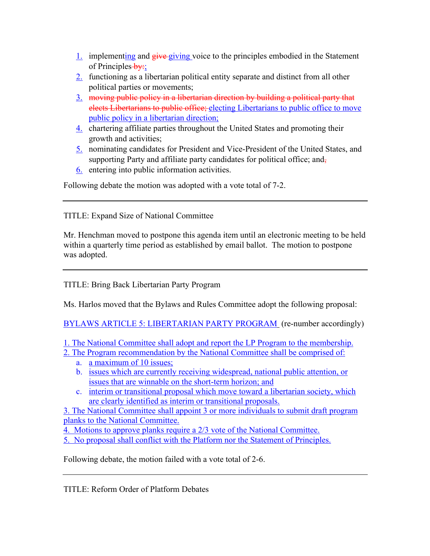- $\frac{1}{2}$  implementing and  $\frac{e^{i\theta}}{e^{i\theta}}$  voice to the principles embodied in the Statement of Principles  $by$ ;
- 2. functioning as a libertarian political entity separate and distinct from all other political parties or movements;
- 3. moving public policy in a libertarian direction by building a political party that elects Libertarians to public office; electing Libertarians to public office to move public policy in a libertarian direction;
- 4. chartering affiliate parties throughout the United States and promoting their growth and activities;
- 5. nominating candidates for President and Vice-President of the United States, and supporting Party and affiliate party candidates for political office; and-
- 6. entering into public information activities.

Following debate the motion was adopted with a vote total of 7-2.

TITLE: Expand Size of National Committee

Mr. Henchman moved to postpone this agenda item until an electronic meeting to be held within a quarterly time period as established by email ballot. The motion to postpone was adopted.

TITLE: Bring Back Libertarian Party Program

Ms. Harlos moved that the Bylaws and Rules Committee adopt the following proposal:

BYLAWS ARTICLE 5: LIBERTARIAN PARTY PROGRAM (re-number accordingly)

1. The National Committee shall adopt and report the LP Program to the membership.

2. The Program recommendation by the National Committee shall be comprised of:

- a. a maximum of 10 issues;
- b. issues which are currently receiving widespread, national public attention, or issues that are winnable on the short-term horizon; and
- c. interim or transitional proposal which move toward a libertarian society, which are clearly identified as interim or transitional proposals.

3. The National Committee shall appoint 3 or more individuals to submit draft program planks to the National Committee.

4. Motions to approve planks require a 2/3 vote of the National Committee.

5. No proposal shall conflict with the Platform nor the Statement of Principles.

Following debate, the motion failed with a vote total of 2-6.

TITLE: Reform Order of Platform Debates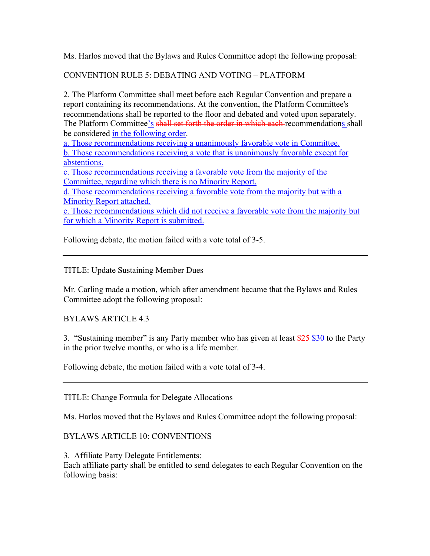Ms. Harlos moved that the Bylaws and Rules Committee adopt the following proposal:

# CONVENTION RULE 5: DEBATING AND VOTING – PLATFORM

2. The Platform Committee shall meet before each Regular Convention and prepare a report containing its recommendations. At the convention, the Platform Committee's recommendations shall be reported to the floor and debated and voted upon separately. The Platform Committee's shall set forth the order in which each recommendations shall be considered in the following order.

a. Those recommendations receiving a unanimously favorable vote in Committee.

b. Those recommendations receiving a vote that is unanimously favorable except for abstentions.

c. Those recommendations receiving a favorable vote from the majority of the Committee, regarding which there is no Minority Report.

d. Those recommendations receiving a favorable vote from the majority but with a Minority Report attached.

e. Those recommendations which did not receive a favorable vote from the majority but for which a Minority Report is submitted.

Following debate, the motion failed with a vote total of 3-5.

## TITLE: Update Sustaining Member Dues

Mr. Carling made a motion, which after amendment became that the Bylaws and Rules Committee adopt the following proposal:

BYLAWS ARTICLE 4.3

3. "Sustaining member" is any Party member who has given at least \$25 \$30 to the Party in the prior twelve months, or who is a life member.

Following debate, the motion failed with a vote total of 3-4.

TITLE: Change Formula for Delegate Allocations

Ms. Harlos moved that the Bylaws and Rules Committee adopt the following proposal:

## BYLAWS ARTICLE 10: CONVENTIONS

3. Affiliate Party Delegate Entitlements:

Each affiliate party shall be entitled to send delegates to each Regular Convention on the following basis: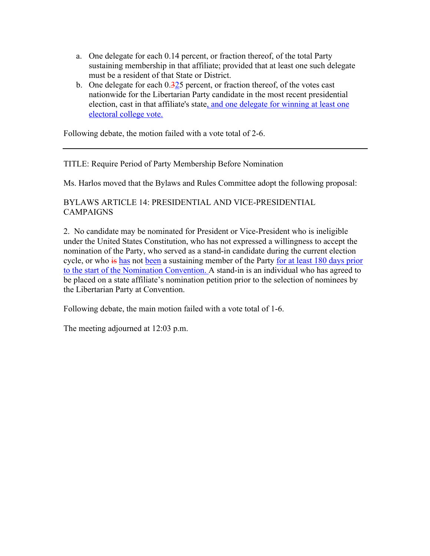- a. One delegate for each 0.14 percent, or fraction thereof, of the total Party sustaining membership in that affiliate; provided that at least one such delegate must be a resident of that State or District.
- b. One delegate for each  $0.325$  percent, or fraction thereof, of the votes cast nationwide for the Libertarian Party candidate in the most recent presidential election, cast in that affiliate's state, and one delegate for winning at least one electoral college vote.

Following debate, the motion failed with a vote total of 2-6.

## TITLE: Require Period of Party Membership Before Nomination

Ms. Harlos moved that the Bylaws and Rules Committee adopt the following proposal:

## BYLAWS ARTICLE 14: PRESIDENTIAL AND VICE-PRESIDENTIAL CAMPAIGNS

2. No candidate may be nominated for President or Vice-President who is ineligible under the United States Constitution, who has not expressed a willingness to accept the nomination of the Party, who served as a stand-in candidate during the current election cycle, or who is has not been a sustaining member of the Party for at least 180 days prior to the start of the Nomination Convention. A stand-in is an individual who has agreed to be placed on a state affiliate's nomination petition prior to the selection of nominees by the Libertarian Party at Convention.

Following debate, the main motion failed with a vote total of 1-6.

The meeting adjourned at 12:03 p.m.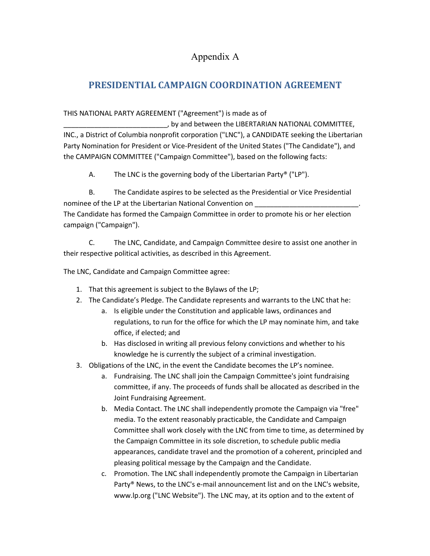# Appendix A

# **PRESIDENTIAL CAMPAIGN COORDINATION AGREEMENT**

## THIS NATIONAL PARTY AGREEMENT ("Agreement") is made as of

, by and between the LIBERTARIAN NATIONAL COMMITTEE, INC., a District of Columbia nonprofit corporation ("LNC"), a CANDIDATE seeking the Libertarian Party Nomination for President or Vice-President of the United States ("The Candidate"), and the CAMPAIGN COMMITTEE ("Campaign Committee"), based on the following facts:

A. The LNC is the governing body of the Libertarian Party® ("LP").

B. The Candidate aspires to be selected as the Presidential or Vice Presidential nominee of the LP at the Libertarian National Convention on The Candidate has formed the Campaign Committee in order to promote his or her election campaign ("Campaign").

C. The LNC, Candidate, and Campaign Committee desire to assist one another in their respective political activities, as described in this Agreement.

The LNC, Candidate and Campaign Committee agree:

- 1. That this agreement is subject to the Bylaws of the LP;
- 2. The Candidate's Pledge. The Candidate represents and warrants to the LNC that he:
	- a. Is eligible under the Constitution and applicable laws, ordinances and regulations, to run for the office for which the LP may nominate him, and take office, if elected; and
	- b. Has disclosed in writing all previous felony convictions and whether to his knowledge he is currently the subject of a criminal investigation.
- 3. Obligations of the LNC, in the event the Candidate becomes the LP's nominee.
	- a. Fundraising. The LNC shall join the Campaign Committee's joint fundraising committee, if any. The proceeds of funds shall be allocated as described in the Joint Fundraising Agreement.
	- b. Media Contact. The LNC shall independently promote the Campaign via "free" media. To the extent reasonably practicable, the Candidate and Campaign Committee shall work closely with the LNC from time to time, as determined by the Campaign Committee in its sole discretion, to schedule public media appearances, candidate travel and the promotion of a coherent, principled and pleasing political message by the Campaign and the Candidate.
	- c. Promotion. The LNC shall independently promote the Campaign in Libertarian Party® News, to the LNC's e-mail announcement list and on the LNC's website, www.lp.org ("LNC Website"). The LNC may, at its option and to the extent of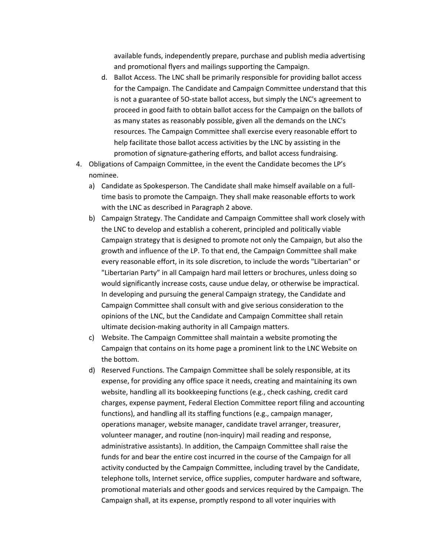available funds, independently prepare, purchase and publish media advertising and promotional flyers and mailings supporting the Campaign.

- d. Ballot Access. The LNC shall be primarily responsible for providing ballot access for the Campaign. The Candidate and Campaign Committee understand that this is not a guarantee of 5O-state ballot access, but simply the LNC's agreement to proceed in good faith to obtain ballot access for the Campaign on the ballots of as many states as reasonably possible, given all the demands on the LNC's resources. The Campaign Committee shall exercise every reasonable effort to help facilitate those ballot access activities by the LNC by assisting in the promotion of signature-gathering efforts, and ballot access fundraising.
- 4. Obligations of Campaign Committee, in the event the Candidate becomes the LP's nominee.
	- a) Candidate as Spokesperson. The Candidate shall make himself available on a fulltime basis to promote the Campaign. They shall make reasonable efforts to work with the LNC as described in Paragraph 2 above.
	- b) Campaign Strategy. The Candidate and Campaign Committee shall work closely with the LNC to develop and establish a coherent, principled and politically viable Campaign strategy that is designed to promote not only the Campaign, but also the growth and influence of the LP. To that end, the Campaign Committee shall make every reasonable effort, in its sole discretion, to include the words "Libertarian" or "Libertarian Party" in all Campaign hard mail letters or brochures, unless doing so would significantly increase costs, cause undue delay, or otherwise be impractical. In developing and pursuing the general Campaign strategy, the Candidate and Campaign Committee shall consult with and give serious consideration to the opinions of the LNC, but the Candidate and Campaign Committee shall retain ultimate decision-making authority in all Campaign matters.
	- c) Website. The Campaign Committee shall maintain a website promoting the Campaign that contains on its home page a prominent link to the LNC Website on the bottom.
	- d) Reserved Functions. The Campaign Committee shall be solely responsible, at its expense, for providing any office space it needs, creating and maintaining its own website, handling all its bookkeeping functions (e.g., check cashing, credit card charges, expense payment, Federal Election Committee report filing and accounting functions), and handling all its staffing functions (e.g., campaign manager, operations manager, website manager, candidate travel arranger, treasurer, volunteer manager, and routine (non-inquiry) mail reading and response, administrative assistants). In addition, the Campaign Committee shall raise the funds for and bear the entire cost incurred in the course of the Campaign for all activity conducted by the Campaign Committee, including travel by the Candidate, telephone tolls, Internet service, office supplies, computer hardware and software, promotional materials and other goods and services required by the Campaign. The Campaign shall, at its expense, promptly respond to all voter inquiries with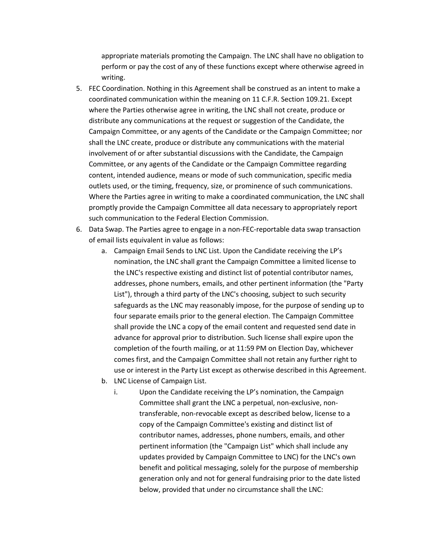appropriate materials promoting the Campaign. The LNC shall have no obligation to perform or pay the cost of any of these functions except where otherwise agreed in writing.

- 5. FEC Coordination. Nothing in this Agreement shall be construed as an intent to make a coordinated communication within the meaning on 11 C.F.R. Section 109.21. Except where the Parties otherwise agree in writing, the LNC shall not create, produce or distribute any communications at the request or suggestion of the Candidate, the Campaign Committee, or any agents of the Candidate or the Campaign Committee; nor shall the LNC create, produce or distribute any communications with the material involvement of or after substantial discussions with the Candidate, the Campaign Committee, or any agents of the Candidate or the Campaign Committee regarding content, intended audience, means or mode of such communication, specific media outlets used, or the timing, frequency, size, or prominence of such communications. Where the Parties agree in writing to make a coordinated communication, the LNC shall promptly provide the Campaign Committee all data necessary to appropriately report such communication to the Federal Election Commission.
- 6. Data Swap. The Parties agree to engage in a non-FEC-reportable data swap transaction of email lists equivalent in value as follows:
	- a. Campaign Email Sends to LNC List. Upon the Candidate receiving the LP's nomination, the LNC shall grant the Campaign Committee a limited license to the LNC's respective existing and distinct list of potential contributor names, addresses, phone numbers, emails, and other pertinent information (the "Party List"), through a third party of the LNC's choosing, subject to such security safeguards as the LNC may reasonably impose, for the purpose of sending up to four separate emails prior to the general election. The Campaign Committee shall provide the LNC a copy of the email content and requested send date in advance for approval prior to distribution. Such license shall expire upon the completion of the fourth mailing, or at 11:59 PM on Election Day, whichever comes first, and the Campaign Committee shall not retain any further right to use or interest in the Party List except as otherwise described in this Agreement.
	- b. LNC License of Campaign List.
		- i. Upon the Candidate receiving the LP's nomination, the Campaign Committee shall grant the LNC a perpetual, non-exclusive, nontransferable, non-revocable except as described below, license to a copy of the Campaign Committee's existing and distinct list of contributor names, addresses, phone numbers, emails, and other pertinent information (the "Campaign List" which shall include any updates provided by Campaign Committee to LNC) for the LNC's own benefit and political messaging, solely for the purpose of membership generation only and not for general fundraising prior to the date listed below, provided that under no circumstance shall the LNC: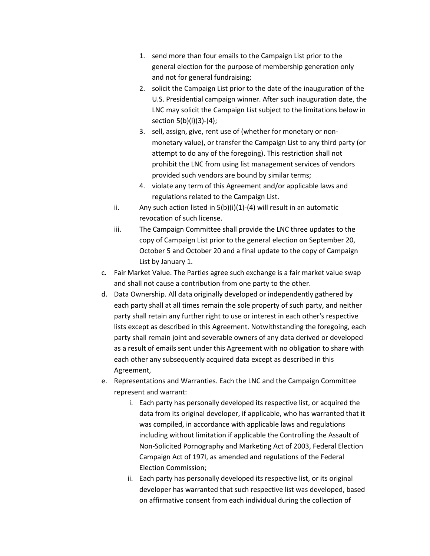- 1. send more than four emails to the Campaign List prior to the general election for the purpose of membership generation only and not for general fundraising;
- 2. solicit the Campaign List prior to the date of the inauguration of the U.S. Presidential campaign winner. After such inauguration date, the LNC may solicit the Campaign List subject to the limitations below in section 5(b)(i)(3)-(4);
- 3. sell, assign, give, rent use of (whether for monetary or nonmonetary value), or transfer the Campaign List to any third party (or attempt to do any of the foregoing). This restriction shall not prohibit the LNC from using list management services of vendors provided such vendors are bound by similar terms;
- 4. violate any term of this Agreement and/or applicable laws and regulations related to the Campaign List.
- ii. Any such action listed in  $5(b)(i)(1)-(4)$  will result in an automatic revocation of such license.
- iii. The Campaign Committee shall provide the LNC three updates to the copy of Campaign List prior to the general election on September 20, October 5 and October 20 and a final update to the copy of Campaign List by January 1.
- c. Fair Market Value. The Parties agree such exchange is a fair market value swap and shall not cause a contribution from one party to the other.
- d. Data Ownership. All data originally developed or independently gathered by each party shall at all times remain the sole property of such party, and neither party shall retain any further right to use or interest in each other's respective lists except as described in this Agreement. Notwithstanding the foregoing, each party shall remain joint and severable owners of any data derived or developed as a result of emails sent under this Agreement with no obligation to share with each other any subsequently acquired data except as described in this Agreement,
- e. Representations and Warranties. Each the LNC and the Campaign Committee represent and warrant:
	- i. Each party has personally developed its respective list, or acquired the data from its original developer, if applicable, who has warranted that it was compiled, in accordance with applicable laws and regulations including without limitation if applicable the Controlling the Assault of Non-Solicited Pornography and Marketing Act of 2003, Federal Election Campaign Act of 197I, as amended and regulations of the Federal Election Commission;
	- ii. Each party has personally developed its respective list, or its original developer has warranted that such respective list was developed, based on affirmative consent from each individual during the collection of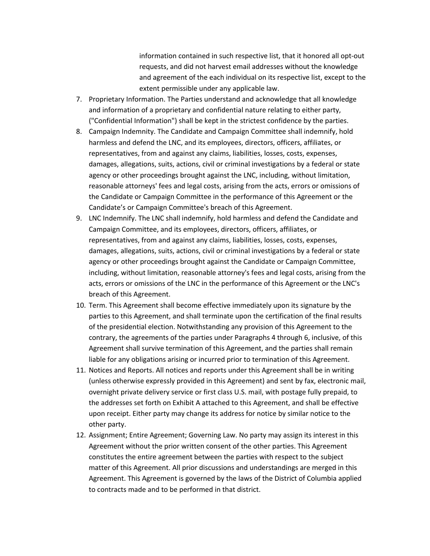information contained in such respective list, that it honored all opt-out requests, and did not harvest email addresses without the knowledge and agreement of the each individual on its respective list, except to the extent permissible under any applicable law.

- 7. Proprietary Information. The Parties understand and acknowledge that all knowledge and information of a proprietary and confidential nature relating to either party, ("Confidential Information") shall be kept in the strictest confidence by the parties.
- 8. Campaign Indemnity. The Candidate and Campaign Committee shall indemnify, hold harmless and defend the LNC, and its employees, directors, officers, affiliates, or representatives, from and against any claims, liabilities, losses, costs, expenses, damages, allegations, suits, actions, civil or criminal investigations by a federal or state agency or other proceedings brought against the LNC, including, without limitation, reasonable attorneys' fees and legal costs, arising from the acts, errors or omissions of the Candidate or Campaign Committee in the performance of this Agreement or the Candidate's or Campaign Committee's breach of this Agreement.
- 9. LNC Indemnify. The LNC shall indemnify, hold harmless and defend the Candidate and Campaign Committee, and its employees, directors, officers, affiliates, or representatives, from and against any claims, liabilities, losses, costs, expenses, damages, allegations, suits, actions, civil or criminal investigations by a federal or state agency or other proceedings brought against the Candidate or Campaign Committee, including, without limitation, reasonable attorney's fees and legal costs, arising from the acts, errors or omissions of the LNC in the performance of this Agreement or the LNC's breach of this Agreement.
- 10. Term. This Agreement shall become effective immediately upon its signature by the parties to this Agreement, and shall terminate upon the certification of the final results of the presidential election. Notwithstanding any provision of this Agreement to the contrary, the agreements of the parties under Paragraphs 4 through 6, inclusive, of this Agreement shall survive termination of this Agreement, and the parties shall remain liable for any obligations arising or incurred prior to termination of this Agreement.
- 11. Notices and Reports. All notices and reports under this Agreement shall be in writing (unless otherwise expressly provided in this Agreement) and sent by fax, electronic mail, overnight private delivery service or first class U.S. mail, with postage fully prepaid, to the addresses set forth on Exhibit A attached to this Agreement, and shall be effective upon receipt. Either party may change its address for notice by similar notice to the other party.
- 12. Assignment; Entire Agreement; Governing Law. No party may assign its interest in this Agreement without the prior written consent of the other parties. This Agreement constitutes the entire agreement between the parties with respect to the subject matter of this Agreement. All prior discussions and understandings are merged in this Agreement. This Agreement is governed by the laws of the District of Columbia applied to contracts made and to be performed in that district.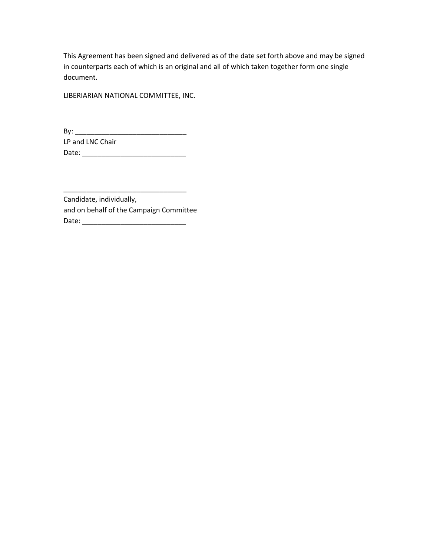This Agreement has been signed and delivered as of the date set forth above and may be signed in counterparts each of which is an original and all of which taken together form one single document.

LIBERIARIAN NATIONAL COMMITTEE, INC.

By: \_\_\_\_\_\_\_\_\_\_\_\_\_\_\_\_\_\_\_\_\_\_\_\_\_\_\_\_\_ LP and LNC Chair Date: \_\_\_\_\_\_\_\_\_\_\_\_\_\_\_\_\_\_\_\_\_\_\_\_\_\_\_

Candidate, individually, and on behalf of the Campaign Committee Date: \_\_\_\_\_\_\_\_\_\_\_\_\_\_\_\_\_\_\_\_\_\_\_\_\_\_\_

\_\_\_\_\_\_\_\_\_\_\_\_\_\_\_\_\_\_\_\_\_\_\_\_\_\_\_\_\_\_\_\_